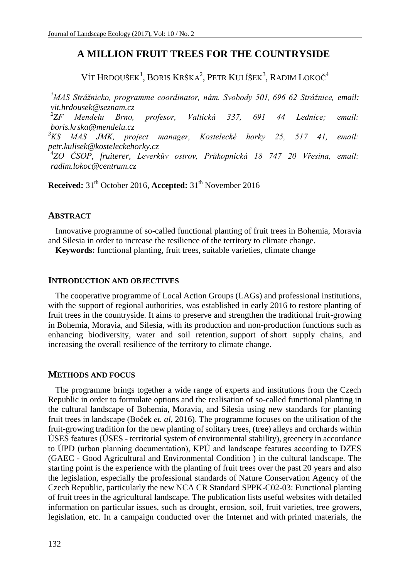# **A MILLION FRUIT TREES FOR THE COUNTRYSIDE**

Vít Hrdoušek<sup>1</sup>, Boris Krška<sup>2</sup>, Petr Kulíšek<sup>3</sup>, Radim Lokoč<sup>4</sup>

*<sup>1</sup>MAS Strážnicko, programme coordinator, nám. Svobody 501, 696 62 Strážnice, email: [vit.hrdousek@seznam.cz](mailto:vit.hrdousek@seznam.cz)*  $^{2}ZF$ *ZF Mendelu Brno, profesor, Valtická 337, 691 44 Lednice; email: boris.krska@mendelu.cz <sup>3</sup>KS MAS JMK, project manager, Kostelecké horky 25, 517 41, email: petr.kulisek@kosteleckehorky.cz 4 ZO ČSOP, fruiterer, Leverkův ostrov, Průkopnická 18 747 20 Vřesina, email: radim.lokoc@centrum.cz*

**Received:** 31<sup>th</sup> October 2016, **Accepted:** 31<sup>th</sup> November 2016

#### **ABSTRACT**

Innovative programme of so-called functional planting of fruit trees in Bohemia, Moravia and Silesia in order to increase the resilience of the territory to climate change.

**Keywords:** functional planting, fruit trees, suitable varieties, climate change

#### **INTRODUCTION AND OBJECTIVES**

The cooperative programme of Local Action Groups (LAGs) and professional institutions, with the support of regional authorities, was established in early 2016 to restore planting of fruit trees in the countryside. It aims to preserve and strengthen the traditional fruit-growing in Bohemia, Moravia, and Silesia, with its production and non-production functions such as enhancing biodiversity, water and soil retention, support of short supply chains, and increasing the overall resilience of the territory to climate change.

#### **METHODS AND FOCUS**

The programme brings together a wide range of experts and institutions from the Czech Republic in order to formulate options and the realisation of so-called functional planting in the cultural landscape of Bohemia, Moravia, and Silesia using new standards for planting fruit trees in landscape (Boček *et. al*, 2016). The programme focuses on the utilisation of the fruit-growing tradition for the new planting of solitary trees, (tree) alleys and orchards within ÚSES features (ÚSES - territorial system of environmental stability), greenery in accordance to ÚPD (urban planning documentation), KPÚ and landscape features according to DZES (GAEC - Good Agricultural and Environmental Condition ) in the cultural landscape. The starting point is the experience with the planting of fruit trees over the past 20 years and also the legislation, especially the professional standards of Nature Conservation Agency of the Czech Republic, particularly the new NCA CR Standard SPPK-C02-03: Functional planting of fruit trees in the agricultural landscape. The publication lists useful websites with detailed information on particular issues, such as drought, erosion, soil, fruit varieties, tree growers, legislation, etc. In a campaign conducted over the Internet and with printed materials, the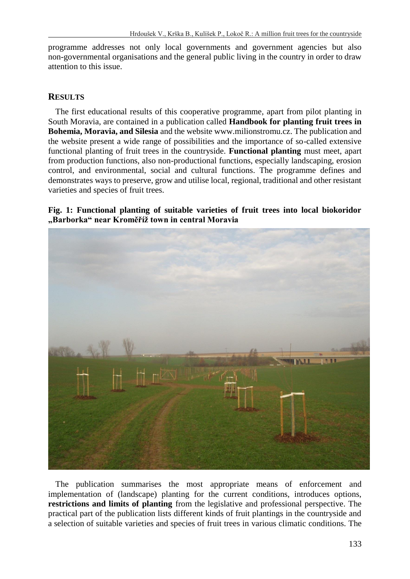programme addresses not only local governments and government agencies but also non-governmental organisations and the general public living in the country in order to draw attention to this issue.

### **RESULTS**

The first educational results of this cooperative programme, apart from pilot planting in South Moravia, are contained in a publication called **Handbook for planting fruit trees in Bohemia, Moravia, and Silesia** and the website www.milionstromu.cz. The publication and the website present a wide range of possibilities and the importance of so-called extensive functional planting of fruit trees in the countryside. **Functional planting** must meet, apart from production functions, also non-productional functions, especially landscaping, erosion control, and environmental, social and cultural functions. The programme defines and demonstrates ways to preserve, grow and utilise local, regional, traditional and other resistant varieties and species of fruit trees.

### **Fig. 1: Functional planting of suitable varieties of fruit trees into local biokoridor "Barborka" near Kroměříž town in central Moravia**



The publication summarises the most appropriate means of enforcement and implementation of (landscape) planting for the current conditions, introduces options, **restrictions and limits of planting** from the legislative and professional perspective. The practical part of the publication lists different kinds of fruit plantings in the countryside and a selection of suitable varieties and species of fruit trees in various climatic conditions. The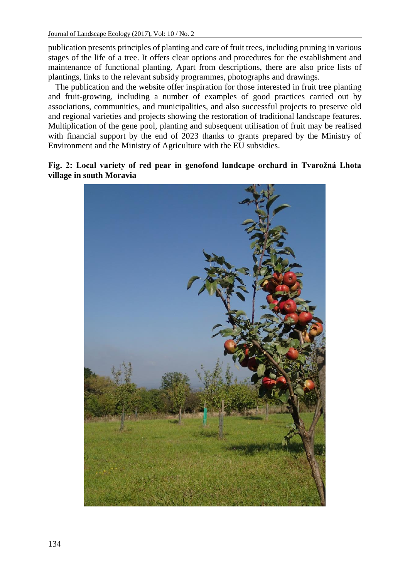publication presents principles of planting and care of fruit trees, including pruning in various stages of the life of a tree. It offers clear options and procedures for the establishment and maintenance of functional planting. Apart from descriptions, there are also price lists of plantings, links to the relevant subsidy programmes, photographs and drawings.

The publication and the website offer inspiration for those interested in fruit tree planting and fruit-growing, including a number of examples of good practices carried out by associations, communities, and municipalities, and also successful projects to preserve old and regional varieties and projects showing the restoration of traditional landscape features. Multiplication of the gene pool, planting and subsequent utilisation of fruit may be realised with financial support by the end of 2023 thanks to grants prepared by the Ministry of Environment and the Ministry of Agriculture with the EU subsidies.

### **Fig. 2: Local variety of red pear in genofond landcape orchard in Tvarožná Lhota village in south Moravia**